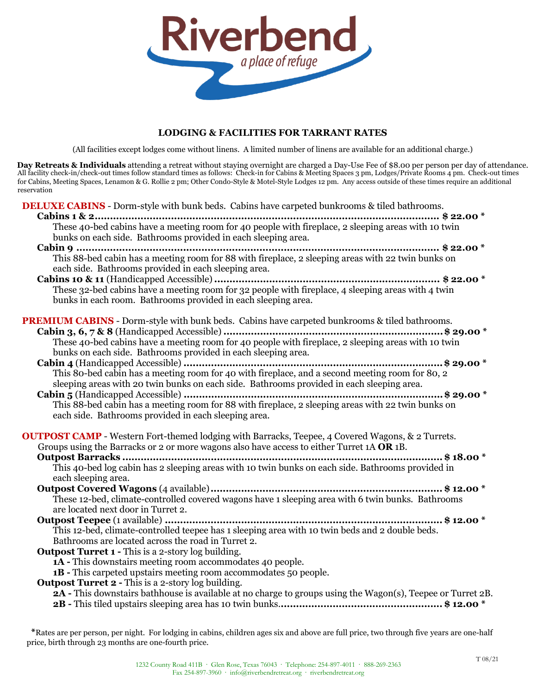

# **LODGING & FACILITIES FOR TARRANT RATES**

(All facilities except lodges come without linens. A limited number of linens are available for an additional charge.)

**Day Retreats & Individuals** attending a retreat without staying overnight are charged a Day-Use Fee of \$8.00 per person per day of attendance. All facility check-in/check-out times follow standard times as follows: Check-in for Cabins & Meeting Spaces 3 pm, Lodges/Private Rooms 4 pm. Check-out times for Cabins, Meeting Spaces, Lenamon & G. Rollie 2 pm; Other Condo-Style & Motel-Style Lodges 12 pm. Any access outside of these times require an additional reservation

**DELUXE CABINS** - Dorm-style with bunk beds. Cabins have carpeted bunkrooms & tiled bathrooms.

| These 40-bed cabins have a meeting room for 40 people with fireplace, 2 sleeping areas with 10 twin         |
|-------------------------------------------------------------------------------------------------------------|
| bunks on each side. Bathrooms provided in each sleeping area.                                               |
|                                                                                                             |
| each side. Bathrooms provided in each sleeping area.                                                        |
|                                                                                                             |
|                                                                                                             |
| bunks in each room. Bathrooms provided in each sleeping area.                                               |
| <b>PREMIUM CABINS</b> - Dorm-style with bunk beds. Cabins have carpeted bunkrooms & tiled bathrooms.        |
|                                                                                                             |
|                                                                                                             |
| bunks on each side. Bathrooms provided in each sleeping area.                                               |
|                                                                                                             |
|                                                                                                             |
| sleeping areas with 20 twin bunks on each side. Bathrooms provided in each sleeping area.                   |
|                                                                                                             |
|                                                                                                             |
| each side. Bathrooms provided in each sleeping area.                                                        |
| <b>OUTPOST CAMP</b> - Western Fort-themed lodging with Barracks, Teepee, 4 Covered Wagons, & 2 Turrets.     |
| Groups using the Barracks or 2 or more wagons also have access to either Turret 1A OR 1B.                   |
|                                                                                                             |
|                                                                                                             |
| each sleeping area.                                                                                         |
|                                                                                                             |
| These 12-bed, climate-controlled covered wagons have 1 sleeping area with 6 twin bunks. Bathrooms           |
| are located next door in Turret 2.                                                                          |
|                                                                                                             |
| This 12-bed, climate-controlled teepee has 1 sleeping area with 10 twin beds and 2 double beds.             |
| Bathrooms are located across the road in Turret 2.                                                          |
| <b>Outpost Turret 1 - This is a 2-story log building.</b>                                                   |
| 1A - This downstairs meeting room accommodates 40 people.                                                   |
| <b>1B</b> - This carpeted upstairs meeting room accommodates 50 people.                                     |
| Outpost Turret 2 - This is a 2-story log building.                                                          |
| 2A - This downstairs bathhouse is available at no charge to groups using the Wagon(s), Teepee or Turret 2B. |
|                                                                                                             |
|                                                                                                             |

**\***Rates are per person, per night. For lodging in cabins, children ages six and above are full price, two through five years are one-half price, birth through 23 months are one-fourth price.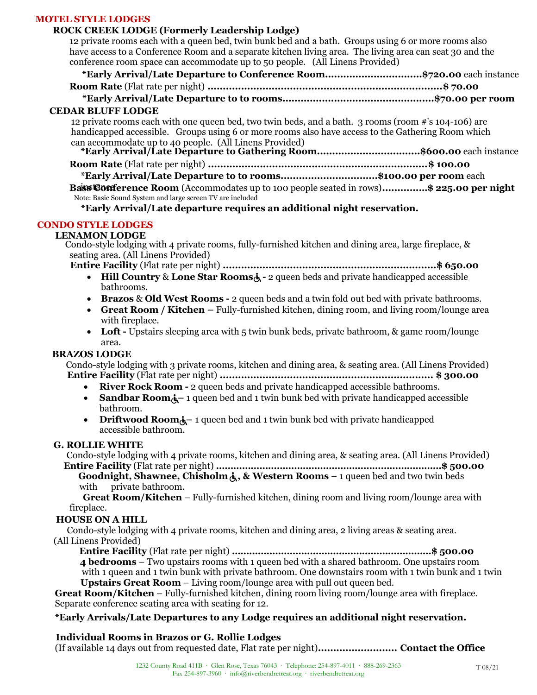# **MOTEL STYLE LODGES**

# **ROCK CREEK LODGE (Formerly Leadership Lodge)**

12 private rooms each with a queen bed, twin bunk bed and a bath. Groups using 6 or more rooms also have access to a Conference Room and a separate kitchen living area. The living area can seat 30 and the conference room space can accommodate up to 50 people. (All Linens Provided)

| conference Fouri space can accommodate up to go people. This Linchs I Fovided)                                                  |  |  |
|---------------------------------------------------------------------------------------------------------------------------------|--|--|
| *Early Arrival/Late Departure to Conference Room\$720.00 each instance                                                          |  |  |
|                                                                                                                                 |  |  |
|                                                                                                                                 |  |  |
| <b>CEDAR BLUFF LODGE</b>                                                                                                        |  |  |
| 12 private rooms each with one queen bed, two twin beds, and a bath. 3 rooms (room #'s 104-106) are                             |  |  |
| handicapped accessible. Groups using 6 or more rooms also have access to the Gathering Room which                               |  |  |
| can accommodate up to 40 people. (All Linens Provided)<br>*Early Arrival/Late Departure to Gathering Room\$600.00 each instance |  |  |
|                                                                                                                                 |  |  |
|                                                                                                                                 |  |  |
| *Early Arrival/Late Departure to to rooms\$100.00 per room each                                                                 |  |  |
| Bassiconference Room (Accommodates up to 100 people seated in rows)\$ 225.00 per night                                          |  |  |
| Note: Basic Sound System and large screen TV are included                                                                       |  |  |

**\*Early Arrival/Late departure requires an additional night reservation.**

# **CONDO STYLE LODGES**

## **LENAMON LODGE**

Condo-style lodging with 4 private rooms, fully-furnished kitchen and dining area, large fireplace, & seating area. (All Linens Provided)

**Entire Facility** (Flat rate per night) **......................................................................\$ 650.00**

- **Hill Country & Lone Star Rooms** $\dot{\mathbf{A}}$  2 queen beds and private handicapped accessible bathrooms.
- **Brazos** & **Old West Rooms -** 2 queen beds and a twin fold out bed with private bathrooms.
- **Great Room / Kitchen –** Fully-furnished kitchen, dining room, and living room/lounge area with fireplace.
- Loft Upstairs sleeping area with 5 twin bunk beds, private bathroom, & game room/lounge area.

## **BRAZOS LODGE**

Condo-style lodging with 3 private rooms, kitchen and dining area, & seating area. (All Linens Provided) **Entire Facility** (Flat rate per night) **...................................................................... \$ 300.00**

- **River Rock Room -** 2 queen beds and private handicapped accessible bathrooms.
- **Sandbar Room**<sup> $\lambda$ </sup> 1 queen bed and 1 twin bunk bed with private handicapped accessible bathroom.
- **Driftwood Room**<sup> $\lambda$ </sup> 1 queen bed and 1 twin bunk bed with private handicapped accessible bathroom.

#### **G. ROLLIE WHITE**

Condo-style lodging with 4 private rooms, kitchen and dining area, & seating area. (All Linens Provided) **Entire Facility** (Flat rate per night) **……………………………………………………………………\$ 500.00**

**Goodnight, Shawnee, Chisholm , & Western Rooms** – 1 queen bed and two twin beds with private bathroom.

**Great Room/Kitchen** – Fully-furnished kitchen, dining room and living room/lounge area with fireplace.

## **HOUSE ON A HILL**

 Condo-style lodging with 4 private rooms, kitchen and dining area, 2 living areas & seating area. (All Linens Provided)

**Entire Facility** (Flat rate per night) **……………………………………………………………\$ 500.00 4 bedrooms** – Two upstairs rooms with 1 queen bed with a shared bathroom. One upstairs room

with 1 queen and 1 twin bunk with private bathroom. One downstairs room with 1 twin bunk and 1 twin **Upstairs Great Room** – Living room/lounge area with pull out queen bed.

**Great Room/Kitchen** – Fully-furnished kitchen, dining room living room/lounge area with fireplace. Separate conference seating area with seating for 12.

# **\*Early Arrivals/Late Departures to any Lodge requires an additional night reservation.**

# **Individual Rooms in Brazos or G. Rollie Lodges**

(If available 14 days out from requested date, Flat rate per night)**.......................... Contact the Office**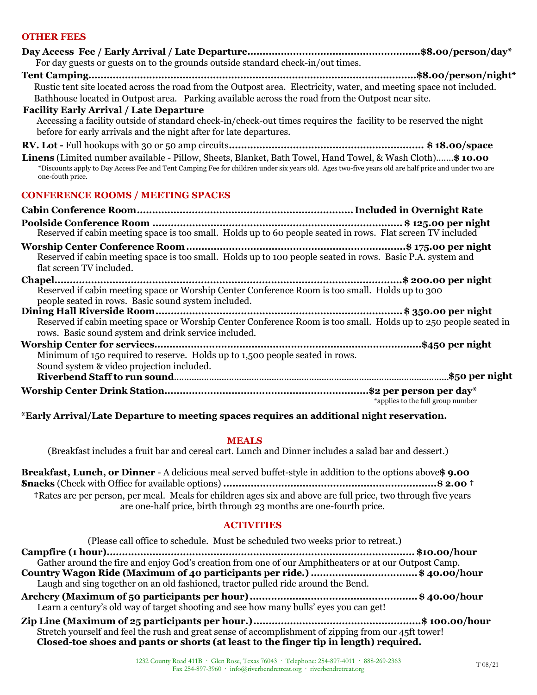# **OTHER FEES**

| For day guests or guests on to the grounds outside standard check-in/out times.                                                                                                                                                                                                     |
|-------------------------------------------------------------------------------------------------------------------------------------------------------------------------------------------------------------------------------------------------------------------------------------|
| Rustic tent site located across the road from the Outpost area. Electricity, water, and meeting space not included.<br>Bathhouse located in Outpost area. Parking available across the road from the Outpost near site.                                                             |
| <b>Facility Early Arrival / Late Departure</b><br>Accessing a facility outside of standard check-in/check-out times requires the facility to be reserved the night<br>before for early arrivals and the night after for late departures.                                            |
|                                                                                                                                                                                                                                                                                     |
| Linens (Limited number available - Pillow, Sheets, Blanket, Bath Towel, Hand Towel, & Wash Cloth) \$10.00<br>*Discounts apply to Day Access Fee and Tent Camping Fee for children under six years old. Ages two-five years old are half price and under two are<br>one-fouth price. |
| <b>CONFERENCE ROOMS / MEETING SPACES</b>                                                                                                                                                                                                                                            |
|                                                                                                                                                                                                                                                                                     |
| Reserved if cabin meeting space is too small. Holds up to 60 people seated in rows. Flat screen TV included                                                                                                                                                                         |
| Reserved if cabin meeting space is too small. Holds up to 100 people seated in rows. Basic P.A. system and<br>flat screen TV included.                                                                                                                                              |
| Reserved if cabin meeting space or Worship Center Conference Room is too small. Holds up to 300<br>people seated in rows. Basic sound system included.                                                                                                                              |
| Reserved if cabin meeting space or Worship Center Conference Room is too small. Holds up to 250 people seated in<br>rows. Basic sound system and drink service included.                                                                                                            |
| Minimum of 150 required to reserve. Holds up to 1,500 people seated in rows.<br>Sound system & video projection included.                                                                                                                                                           |
|                                                                                                                                                                                                                                                                                     |
| *applies to the full group number                                                                                                                                                                                                                                                   |
| *Early Arrival/Late Departure to meeting spaces requires an additional night reservation.                                                                                                                                                                                           |

#### **MEALS**

(Breakfast includes a fruit bar and cereal cart. Lunch and Dinner includes a salad bar and dessert.)

**Breakfast, Lunch, or Dinner** - A delicious meal served buffet-style in addition to the options above**\$ 9.00 †Snacks** (Check with Office for available options) **......................................................................\$ 2.00 † †**Rates are per person, per meal. Meals for children ages six and above are full price, two through five years are one-half price, birth through 23 months are one-fourth price.

#### **ACTIVITIES**

| (Please call office to schedule. Must be scheduled two weeks prior to retreat.)                                                                                                               |
|-----------------------------------------------------------------------------------------------------------------------------------------------------------------------------------------------|
|                                                                                                                                                                                               |
| Gather around the fire and enjoy God's creation from one of our Amphitheaters or at our Outpost Camp.                                                                                         |
| Country Wagon Ride (Maximum of 40 participants per ride.) \$ 40.00/hour<br>Laugh and sing together on an old fashioned, tractor pulled ride around the Bend.                                  |
| Learn a century's old way of target shooting and see how many bulls' eyes you can get!                                                                                                        |
| Stretch yourself and feel the rush and great sense of accomplishment of zipping from our 45ft tower!<br>Closed-toe shoes and pants or shorts (at least to the finger tip in length) required. |